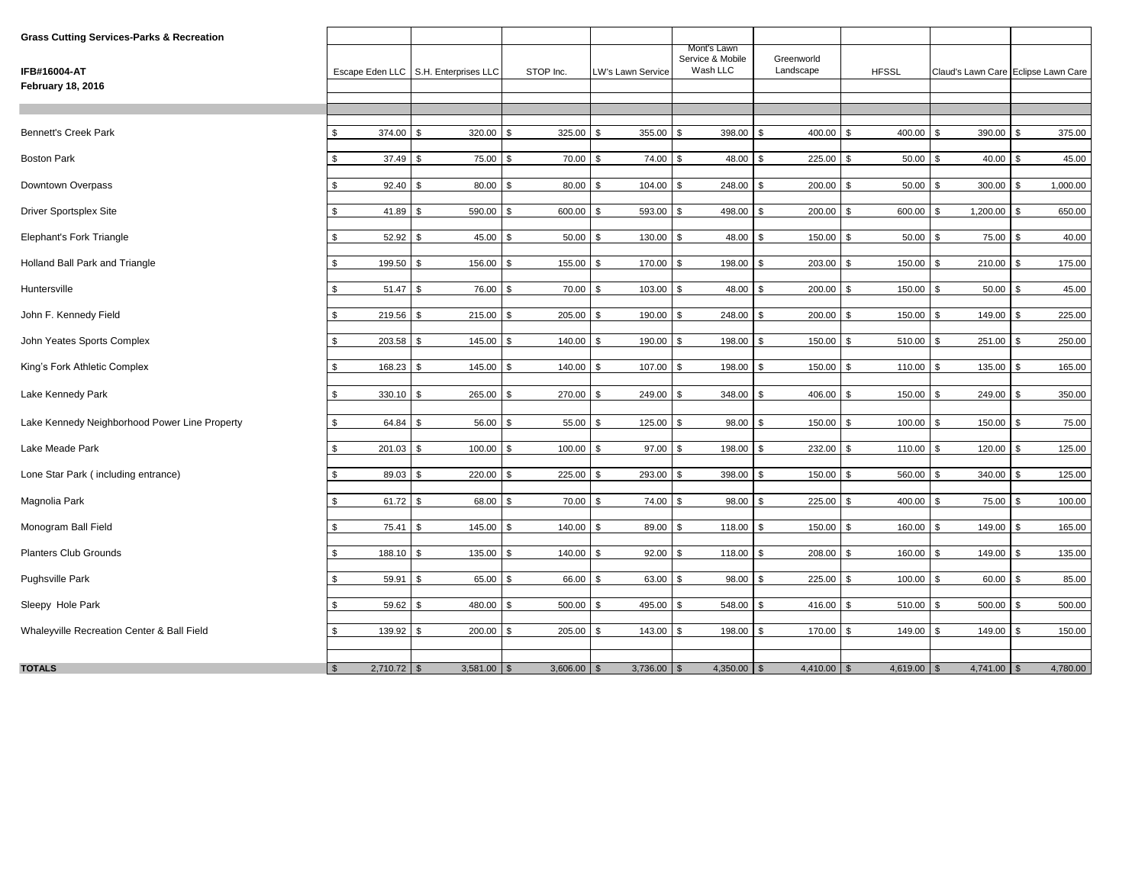| <b>Grass Cutting Services-Parks &amp; Recreation</b> |                                 |                                        |                          |                   |                                             |                          |                              |               |                                     |
|------------------------------------------------------|---------------------------------|----------------------------------------|--------------------------|-------------------|---------------------------------------------|--------------------------|------------------------------|---------------|-------------------------------------|
| IFB#16004-AT                                         |                                 | Escape Eden LLC   S.H. Enterprises LLC | STOP Inc.                | LW's Lawn Service | Mont's Lawn<br>Service & Mobile<br>Wash LLC | Greenworld<br>Landscape  | <b>HFSSL</b>                 |               | Claud's Lawn Care Eclipse Lawn Care |
| <b>February 18, 2016</b>                             |                                 |                                        |                          |                   |                                             |                          |                              |               |                                     |
|                                                      |                                 |                                        |                          |                   |                                             |                          |                              |               |                                     |
|                                                      |                                 |                                        |                          |                   |                                             |                          |                              |               |                                     |
| <b>Bennett's Creek Park</b>                          | \$<br>374.00                    | 320.00                                 | 325.00<br>£.             | 355.00            | 398.00<br>\$                                | 400.00                   | 400.00                       | 390.00        | 375.00                              |
| <b>Boston Park</b>                                   | \$<br>37.49                     | 75.00                                  | 70.00 \$<br>$\mathbf{s}$ | 74.00             | 48.00<br>\$                                 | 225.00<br>\$             | 50.00                        | 40.00         | 45.00                               |
| Downtown Overpass                                    | \$<br>92.40                     | 80.00                                  | 80.00<br>\$              | 104.00            | 248.00                                      | 200.00<br>\$             | 50.00                        | 300.00        | 1,000.00                            |
| Driver Sportsplex Site                               | \$<br>41.89                     | 590.00                                 | 600.00 \$<br>\$          | 593.00            | 498.00<br>\$                                | 200.00<br>\$             | 600.00<br>\$                 | 1,200.00      | 650.00<br>\$                        |
| Elephant's Fork Triangle                             | \$<br>52.92                     | 45.00                                  | $50.00$ \$<br>\$         | 130.00            | 48.00<br>\$                                 | 150.00<br>\$             | 50.00<br>\$                  | 75.00<br>\$   | 40.00<br>\$                         |
| Holland Ball Park and Triangle                       | $\mathbb{S}$<br>199.50          | 156.00<br>l \$                         | \$<br>155.00 \$          | 170.00            | $\mathfrak{L}$<br>198.00                    | 203.00<br>$\mathfrak{L}$ | 150.00<br>$\mathbf{\hat{z}}$ | 210.00<br>\$  | 175.00                              |
| Huntersville                                         | $\mathbb{S}$<br>$51.47$ \$      | 76.00                                  | \$<br>70.00 \$           | 103.00            | 48.00<br>\$                                 | 200.00<br>$\mathbf{s}$   | 150.00<br><b>S</b>           | 50.00<br>\$.  | 45.00<br>$\mathfrak{L}$             |
| John F. Kennedy Field                                | $$\mathbb{S}$$<br>$219.56$ \$   | 215.00                                 | \$<br>205.00 \$          | 190.00            | 248.00<br>\$.                               | 200.00<br><b>S</b>       | 150.00<br>$\mathbf{s}$       | 149.00<br>\$  | 225.00                              |
| John Yeates Sports Complex                           | $$\mathbb{S}$$<br>203.58        | 145.00<br>l \$                         | 140.00 \$<br>\$          | 190.00            | 198.00<br>\$                                | 150.00<br><b>S</b>       | 510.00 \$<br>- \$            | 251.00        | 250.00                              |
| King's Fork Athletic Complex                         | \$<br>168.23                    | 145.00<br>l \$                         | 140.00 \$<br>\$          | 107.00 \$         | 198.00                                      | 150.00<br><b>S</b>       | $110.00$ \$<br><b>S</b>      | 135.00        | 165.00                              |
| Lake Kennedy Park                                    | \$<br>330.10                    | 265.00<br>-9                           | \$<br>270.00             | 249.00 \$<br>-\$  | 348.00                                      | 406.00<br>\$             | 150.00 \$<br>\$.             | 249.00        | 350.00<br>£.                        |
| Lake Kennedy Neighborhood Power Line Property        | \$<br>64.84 \$                  | 56.00                                  | \$<br>$55.00$ \$         | 125.00            | \$<br>98.00                                 | 150.00<br>\$             | 100.00<br>l \$               | 150.00<br>\$. | 75.00                               |
| Lake Meade Park                                      | \$<br>201.03 \$                 | 100.00                                 | \$<br>$100.00$ \$        | $97.00$ \$        | 198.00 \$                                   | 232.00 \$                | $110.00$ \$                  | 120.00        | $\mathfrak{s}$<br>125.00            |
| Lone Star Park (including entrance)                  | \$<br>89.03 \$                  | 220.00                                 | \$<br>$225.00$ \$        | 293.00 \$         | 398.00 \$                                   | $150.00$ \$              | 560.00 \$                    | 340.00        | 125.00<br>$\mathfrak{L}$            |
| Magnolia Park                                        | $\mathbb{S}$<br>$61.72$ \$      | 68.00                                  | \$<br>70.00 \$           | 74.00 \$          | 98.00 \$                                    | $225.00$ \$              | $400.00$ \$                  | 75.00         | 100.00<br>\$                        |
| Monogram Ball Field                                  | \$<br>75.41 \$                  | 145.00                                 | \$<br>$140.00$ \$        | 89.00 \$          | $118.00$ \$                                 | $150.00$ \$              | $160.00$ \$                  | 149.00        | 165.00<br>\$                        |
| <b>Planters Club Grounds</b>                         | \$<br>188.10 \$                 | 135.00                                 | \$<br>140.00 \$          | $92.00$ \$        | $118.00$ \$                                 | 208.00 \$                | 160.00 \$                    | 149.00        | \$.<br>135.00                       |
| <b>Pughsville Park</b>                               | \$<br>59.91 \$                  | 65.00                                  | \$<br>66.00 \$           | 63.00 \$          | 98.00 \$                                    | $225.00$ \$              | $100.00$ \$                  | 60.00         | \$<br>85.00                         |
| Sleepy Hole Park                                     | \$<br>$59.62$ \$                | 480.00 \$                              | $500.00$ \$              | 495.00 \$         | 548.00 \$                                   | 416.00 \$                | $510.00$ \$                  | 500.00        | \$<br>500.00                        |
| Whaleyville Recreation Center & Ball Field           | 139.92 \$<br>\$                 | $200.00$ \$                            | $205.00$ \$              | 143.00 \$         | 198.00 \$                                   | 170.00 \$                | $149.00$ \$                  | 149.00        | \$<br>150.00                        |
| <b>TOTALS</b>                                        | $2,710.72$ \$<br>$\mathfrak{S}$ | $3,581.00$ \$                          | $3,606.00$ \$            | $3,736.00$ \$     | $4,350.00$ \$                               | $4,410.00$ \$            | $4,619.00$ \$                | $4,741.00$ \$ | 4,780.00                            |